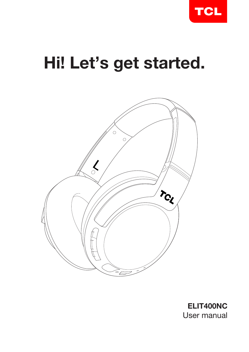

# Hi! Let's get started.



ELIT400NC User manual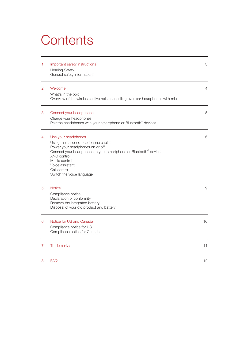## **Contents**

| 1              | Important safety instructions<br><b>Hearing Safety</b><br>General safety information                                                                                                                                                                                        | 3  |
|----------------|-----------------------------------------------------------------------------------------------------------------------------------------------------------------------------------------------------------------------------------------------------------------------------|----|
| $\overline{2}$ | Welcome<br>What's in the box<br>Overview of the wireless active noise cancelling over-ear headphones with mic                                                                                                                                                               | 4  |
| 3              | Connect your headphones<br>Charge your headphones<br>Pair the headphones with your smartphone or Bluetooth <sup>®</sup> devices                                                                                                                                             | 5  |
| 4              | Use your headphones<br>Using the supplied headphone cable<br>Power your headphones on or off<br>Connect your headphones to your smartphone or Bluetooth <sup>®</sup> device<br>ANC control<br>Music control<br>Voice assistant<br>Call control<br>Switch the voice language | 6  |
| 5              | <b>Notice</b><br>Compliance notice<br>Declaration of conformity<br>Remove the integrated battery<br>Disposal of your old product and battery                                                                                                                                | 9  |
| 6              | Notice for US and Canada<br>Compliance notice for US<br>Compliance notice for Canada                                                                                                                                                                                        | 10 |
| $\overline{7}$ | <b>Trademarks</b>                                                                                                                                                                                                                                                           | 11 |
| 8              | <b>FAQ</b>                                                                                                                                                                                                                                                                  | 12 |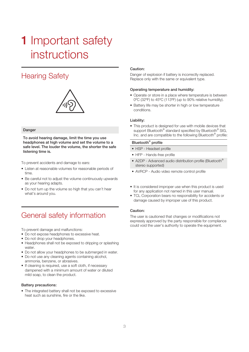## **1** Important safety instructions

### Hearing Safety



#### Danger

To avoid hearing damage, limit the time you use headphones at high volume and set the volume to a safe level. The louder the volume, the shorter the safe listening time is.

To prevent accidents and damage to ears:

- • Listen at reasonable volumes for reasonable periods of time.
- Be careful not to adjust the volume continuously upwards as your hearing adapts.
- Do not turn up the volume so high that you can't hear what's around you.

### General safety information

To prevent damage and malfunctions:

- Do not expose headphones to excessive heat.
- Do not drop your headphones.
- Headphones shall not be exposed to dripping or splashing water.
- Do not allow your headphones to be submerged in water.
- Do not use any cleaning agents containing alcohol, ammonia, benzene, or abrasives.
- If cleaning is required, use a soft cloth, if necessary dampened with a minimum amount of water or diluted mild soap, to clean the product.

#### Battery precautions:

• The integrated battery shall not be exposed to excessive heat such as sunshine, fire or the like.

#### Caution:

Danger of explosion if battery is incorrectly replaced. Replace only with the same or equivalent type.

#### Operating temperature and humidity:

- Operate or store in a place where temperature is between 0ºC (32ºF) to 45ºC (113ºF) (up to 90% relative humidity).
- Battery life may be shorter in high or low temperature conditions.

#### Liability:

• This product is designed for use with mobile devices that support Bluetooth<sup>®</sup> standard specified by Bluetooth<sup>®</sup> SIG, Inc. and are compatible to the following Bluetooth® profile:

#### Bluetooth® profile

- HSP Headset profile
- HFP Hands-free profile
- A2DP Advanced audio distribution profile (Bluetooth® stereo supported)
- • AVRCP Audio video remote control profile
- It is considered improper use when this product is used for any application not named in this user manual.
- TCL Corporation bears no responsibility for accidents or damage caused by improper use of this product.

#### Caution:

The user is cautioned that changes or modifications not expressly approved by the party responsible for compliance could void the user's authority to operate the equipment.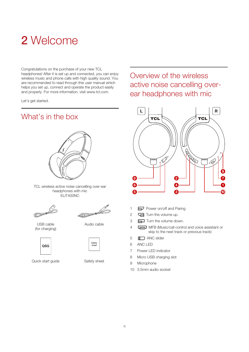## 2 Welcome

Congratulations on the purchase of your new TCL headphones! After it is set up and connected, you can enjoy wireless music and phone calls with high quality sound. You are recommended to read through this user manual which helps you set up, connect and operate the product easily and properly. For more information, visit www.tcl.com.

Let's get started.

### What's in the box



TCL wireless active noise cancelling over-ear headphones with mic ELIT400NC

.<br>Sie **Company** 



Audio cable

USB cable (for charging)



Quick start guide Safety sheet

Safety sheet

### Overview of the wireless active noise cancelling overear headphones with mic



- 1 **Power on/off and Paring**
- 2 **G** Turn the volume up.
- 3  $\Box$  Turn the volume down.
- 4 **I MFB** (Music/call control and voice assistant or skip to the next track or previous track)
- 5 **ID** ANC slider
- 6 ANC LED
- 7 Power LED indicator
- 8 Micro USB charging slot
- 9 Microphone
- 10 3.5mm audio socket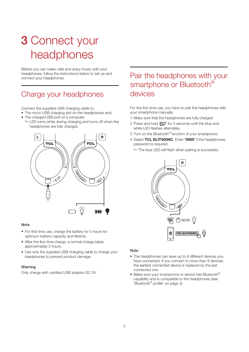## 3 Connect your headphones

Before you can make calls and enjoy music with your headphones, follow the instructions below to set up and connect your headphones.

### Charge your headphones

Connect the supplied USB charging cable to:

- The micro USB charging slot on the headphones and;
- The charger/USB port of a computer.
- $\rightarrow$  LED turns white during charging and turns off when the headphones are fully charged.



#### **Note**

- For first time use, charge the battery for 5 hours for optimum battery capacity and lifetime.
- After the first time charge, a normal charge takes approximately 2 hours.
- Use only the supplied USB charging cable to charge your headphones to prevent product damage.

### Warning

Only charge with certified USB adaptor DC 5V

### Pair the headphones with your smartphone or Bluetooth<sup>®</sup> devices

For the first time use, you have to pair the headphones with your smartphone manually.

- 1 Make sure that the headphones are fully charged.
- 2 Press and hold  $\Box$  for 5 seconds until the blue and white LED flashes alternately.
- 3 Turn on the Bluetooth® function of your smartphone.
- 4 Select TCL ELIT400NC. Enter '0000' if the headphones password is required.
	- $\rightarrow$  The blue LED will flash when pairing is successful.



#### Note

- The headphones can save up to 8 different devices you have connected. If you connect to more than 8 devices, the earliest connected device is replaced by the last connected one.
- Make sure your smartphone or device has Bluetooth<sup>®</sup> capability and is compatible to the headphones (see 'Bluetooth® profile' on page 3).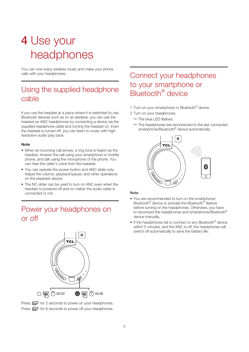## 4 Use your headphones

You can now enjoy wireless music and make your phone calls with your headphones.

### Using the supplied headphone cable

If you use the headset at a place where it is restricted to use Bluetooth devices such as on an airplane, you can use the headset as ANC headphones by connecting a device via the supplied headphone cable and turning the headset on. Even the headset is turned off, you can listen to music with high resolution audio play back.

#### **Note**

- When an incoming call arrives, a ring tone is heard via the headset. Answer the call using your smartphone or mobile phone, and talk using the microphone of the phone. You can hear the caller's voice from the headset.
- You can operate the power button and ANC slider only. Adjust the volume, playback/pause, and other operations on the playback device.
- The NC slider can be used to turn on ANC even when the headset is powered off and no matter the audio cable is connected or not.

### Power your headphones on or off



Press  $\mathbf{F}$  for 2 seconds to power on your headphones. Press  $\implies$  for 6 seconds to power off your headphones.

### Connect your headphones to your smartphone or Bluetooth® device

- 1 Turn on your smartphone or Bluetooth<sup>®</sup> device.
- 2 Turn on your headphones.
	- $ightharpoonup$  The blue LED flashes.
	- $\rightarrow$  The headphones are reconnected to the last connected smartphone/Bluetooth<sup>®</sup> device automatically.



#### Note

- You are recommended to turn on the smartphone/ Bluetooth® device or activate the Bluetooth® feature before turning on the headphones. Otherwise, you have to reconnect the headphones and smartphone/Bluetooth® device manually.
- If the headphones fail to connect to any Bluetooth<sup>®</sup> device within 5 minutes, and the ANC is off, the headphones will switch off automatically to save the battery life.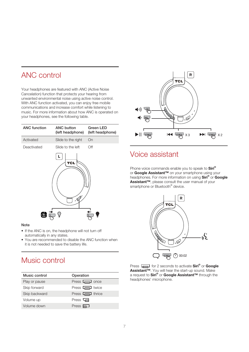### ANC control

Your headphones are featured with ANC (Active Noise Cancelation) function that protects your hearing from unwanted environmental noise using active noise control. With ANC function activated, you can enjoy free mobile communications and increase comfort while listening to music. For more information about how ANC is operated on your headphones, see the following table.

| <b>ANC</b> function | <b>ANC button</b><br>(left headphone) | <b>Green LED</b><br>(left headphone) |
|---------------------|---------------------------------------|--------------------------------------|
| Activated           | Slide to the right                    | On                                   |
| Deactivated         | Slide to the left                     | Off                                  |
|                     | L<br><b>TCL</b>                       |                                      |
| トレヘキヘ               |                                       |                                      |

#### Note

- If the ANC is on, the headphone will not turn off automatically in any states.
- You are recommended to disable the ANC function when it is not needed to save the battery life.

### Music control

| Music control | Operation                        |
|---------------|----------------------------------|
| Play or pause | Press $\boxed{\phantom{0}}$ once |
| Skip forward  | Press $\Box$ twice               |
| Skip backward | Press $\Box$ thrice              |
| Volume up     | Press $\Box$                     |
| Volume down   | Press $\equiv$                   |



### Voice assistant

Phone voice commands enable you to speak to **Siri®** or Google Assistant™ on your smartphone using your headphones. For more information on using Siri® or Google Assistant™, please consult the user manual of your smartphone or Bluetooth<sup>®</sup> device.



Press  $\boxed{\longrightarrow}$  for 2 seconds to activate Siri® or Google Assistant™. You will hear the start-up sound. Make a request to Siri® or Google Assistant™ through the headphones' microphone.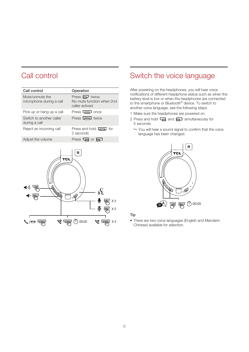### Call control

| Call control                                | Operation                                                              |
|---------------------------------------------|------------------------------------------------------------------------|
| Mute/unmute the<br>microphone during a call | Press $\implies$ twice.<br>No mute function when 2nd<br>caller actived |
| Pick up or hang up a call                   | Press $\Box$ once                                                      |
| Switch to another caller<br>during a call   | Press $\Box$ twice                                                     |
| Reject an incoming call                     | Press and hold $\Box$ for<br>2 seconds                                 |
| Adjust the volume                           | Press $\Box$ or $\Box$                                                 |
|                                             |                                                                        |



### Switch the voice language

After powering on the headphones, you will hear voice notifications of different headphone status such as when the battery level is low or when the headphones are connected to the smartphone or Bluetooth<sup>®</sup> device. To switch to another voice language, see the following steps.

- 1 Make sure the headphones are powered on.
- 2 Press and hold  $\sqrt{ }$  and  $\sqrt{ }$  simultaneously for 5 seconds.
	- You will hear a sound signal to confirm that the voice language has been changed.



### Tip

• There are two voice languages (English and Mandarin Chinese) available for selection.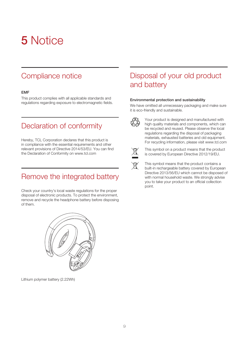## 5 Notice

### Compliance notice

### EMF

This product complies with all applicable standards and regulations regarding exposure to electromagnetic fields.

### Declaration of conformity

Hereby, TCL Corporation declares that this product is in compliance with the essential requirements and other relevant provisions of Directive 2014/53/EU. You can find the Declaration of Conformity on www.tcl.com

### Remove the integrated battery

Check your country's local waste regulations for the proper disposal of electronic products. To protect the environment, remove and recycle the headphone battery before disposing of them.



Lithium polymer battery (2.22Wh)

### Disposal of your old product and battery

#### Environmental protection and sustainability

We have omitted all unnecessary packaging and make sure it is eco-friendly and sustainable.



Your product is designed and manufactured with high quality materials and components, which can be recycled and reused. Please observe the local regulations regarding the disposal of packaging materials, exhausted batteries and old equipment. For recycling information, please visit www.tcl.com



This symbol on a product means that the product is covered by European Directive 2012/19/EU.

This symbol means that the product contains a built-in rechargeable battery covered by European Directive 2013/56/EU which cannot be disposed of with normal household waste. We strongly advise you to take your product to an official collection point.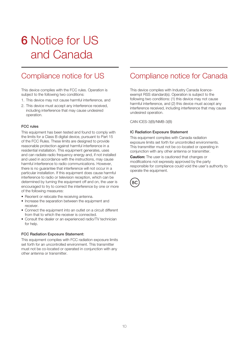## 6 Notice for US and Canada

### Compliance notice for US

This device complies with the FCC rules. Operation is subject to the following two conditions:

- 1. This device may not cause harmful interference, and
- 2. This device must accept any interference received, including interference that may cause undesired operation.

#### FCC rules

This equipment has been tested and found to comply with the limits for a Class B digital device, pursuant to Part 15 of the FCC Rules. These limits are designed to provide reasonable protection against harmful interference in a residential installation. This equipment generates, uses and can radiate radio frequency energy and, if not installed and used in accordance with the instructions, may cause harmful interference to radio communications. However, there is no guarantee that interference will not occur in a particular installation. If this equipment does cause harmful interference to radio or television reception, which can be determined by turning the equipment off and on, the user is encouraged to try to correct the interference by one or more of the following measures:

- Reorient or relocate the receiving antenna.
- Increase the separation between the equipment and receiver.
- Connect the equipment into an outlet on a circuit different from that to which the receiver is connected.
- Consult the dealer or an experienced radio/TV technician for help.

#### FCC Radiation Exposure Statement:

This equipment complies with FCC radiation exposure limits set forth for an uncontrolled environment. This transmitter must not be co-located or operated in conjunction with any other antenna or transmitter.

### Compliance notice for Canada

This device complies with Industry Canada licenceexempt RSS standard(s). Operation is subject to the following two conditions: (1) this device may not cause harmful interference, and (2) this device must accept any interference received, including interference that may cause undesired operation.

CAN ICES-3(B)/NMB-3(B)

#### IC Radiation Exposure Statement

This equipment complies with Canada radiation exposure limits set forth for uncontrolled environments. This transmitter must not be co-located or operating in conjunction with any other antenna or transmitter.

**Caution:** The user is cautioned that changes or modifications not expressly approved by the party responsible for compliance could void the user's authority to operate the equipment.

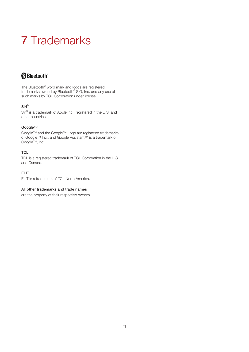## 7 Trademarks

### **Bluetooth**\*

The Bluetooth® word mark and logos are registered trademarks owned by Bluetooth® SIG, Inc. and any use of such marks by TCL Corporation under license.

### Siri®

Siri® is a trademark of Apple Inc., registered in the U.S. and other countries.

#### Google™

Google™ and the Google™ Logo are registered trademarks of Google™ Inc., and Google Assistant™ is a trademark of Google™, Inc.

### **TCL**

TCL is a registered trademark of TCL Corporation in the U.S. and Canada.

### ELIT

ELIT is a trademark of TCL North America.

#### All other trademarks and trade names

are the property of their respective owners.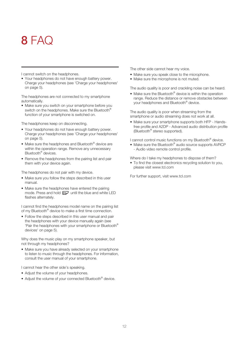## 8 FAC

I cannot switch on the headphones.

• Your headphones do not have enough battery power. Charge your headphones (see 'Charge your headphones' on page 5).

The headphones are not connected to my smartphone automatically.

• Make sure you switch on your smartphone before you switch on the headphones. Make sure the Bluetooth<sup>®</sup> function of your smartphone is switched on.

The headphones keep on disconnecting.

- Your headphones do not have enough battery power. Charge your headphones (see 'Charge your headphones' on page 5).
- Make sure the headphones and Bluetooth® device are within the operation range. Remove any unnecessary Bluetooth<sup>®</sup> devices.
- Remove the headphones from the pairing list and pair them with your device again.

The headphones do not pair with my device.

- Make sure you follow the steps described in this user manual.
- Make sure the headphones have entered the pairing mode. Press and hold  $\Box$  until the blue and white LED flashes alternately.

I cannot find the headphones model name on the pairing list of my Bluetooth<sup>®</sup> device to make a first time connection.

• Follow the steps described in this user manual and pair the headphones with your device manually again (see 'Pair the headphones with your smartphone or Bluetooth® devices' on page 5).

Why does the music play on my smartphone speaker, but not through my headphones?

• Make sure you have already selected on your smartphone to listen to music through the headphones. For information, consult the user manual of your smartphone.

I cannot hear the other side's speaking.

- Adjust the volume of your headphones.
- Adjust the volume of your connected Bluetooth® device.

The other side cannot hear my voice.

- Make sure you speak close to the microphone.
- Make sure the microphone is not muted.

The audio quality is poor and crackling noise can be heard.

• Make sure the Bluetooth® device is within the operation range. Reduce the distance or remove obstacles between your headphones and Bluetooth® device.

The audio quality is poor when streaming from the smartphone or audio streaming does not work at all.

• Make sure your smartphone supports both HFP - Handsfree profile and A2DP - Advanced audio distribution profile (Bluetooth® stereo supported).

I cannot control music functions on my Bluetooth<sup>®</sup> device.

• Make sure the Bluetooth® audio source supports AVRCP - Audio video remote control profile.

Where do I take my headphones to dispose of them?

• To find the closest electronics recycling solution to you, please visit www.tcl.com

For further support, visit www.tcl.com